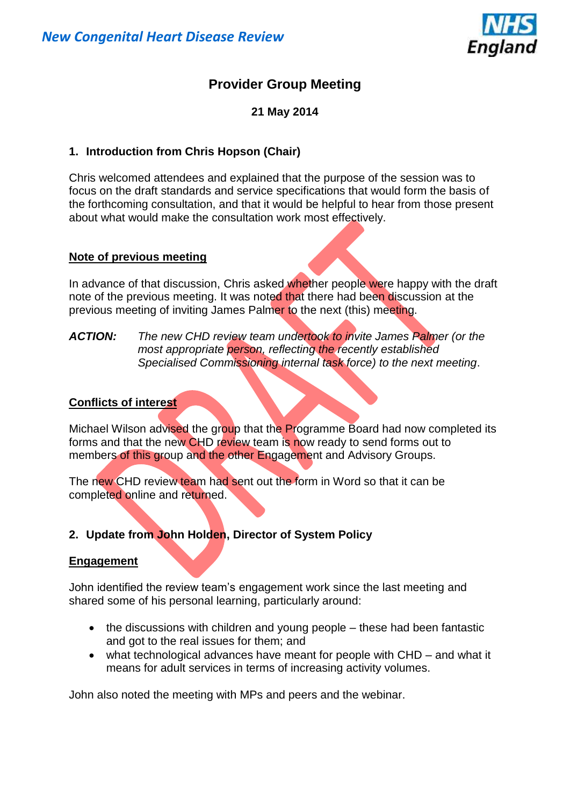

# **Provider Group Meeting**

**21 May 2014**

# **1. Introduction from Chris Hopson (Chair)**

Chris welcomed attendees and explained that the purpose of the session was to focus on the draft standards and service specifications that would form the basis of the forthcoming consultation, and that it would be helpful to hear from those present about what would make the consultation work most effectively.

## **Note of previous meeting**

In advance of that discussion, Chris asked whether people were happy with the draft note of the previous meeting. It was noted that there had been discussion at the previous meeting of inviting James Palmer to the next (this) meeting.

*ACTION: The new CHD review team undertook to invite James Palmer (or the most appropriate person, reflecting the recently established Specialised Commissioning internal task force) to the next meeting*.

## **Conflicts of interest**

Michael Wilson advised the group that the Programme Board had now completed its forms and that the new CHD review team is now ready to send forms out to members of this group and the other Engagement and Advisory Groups.

The new CHD review team had sent out the form in Word so that it can be completed online and returned.

# **2. Update from John Holden, Director of System Policy**

# **Engagement**

John identified the review team's engagement work since the last meeting and shared some of his personal learning, particularly around:

- the discussions with children and young people these had been fantastic and got to the real issues for them; and
- what technological advances have meant for people with CHD and what it means for adult services in terms of increasing activity volumes.

John also noted the meeting with MPs and peers and the webinar.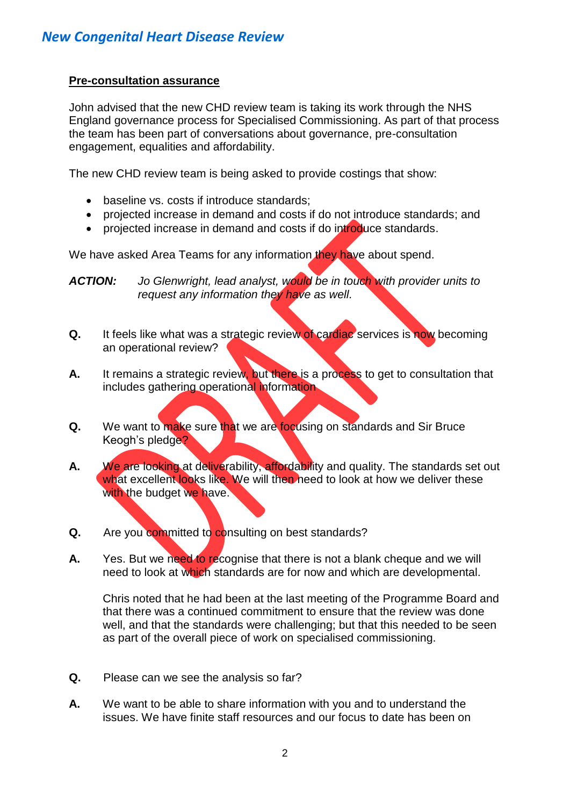## **Pre-consultation assurance**

John advised that the new CHD review team is taking its work through the NHS England governance process for Specialised Commissioning. As part of that process the team has been part of conversations about governance, pre-consultation engagement, equalities and affordability.

The new CHD review team is being asked to provide costings that show:

- baseline vs. costs if introduce standards;
- projected increase in demand and costs if do not introduce standards; and
- projected increase in demand and costs if do introduce standards.

We have asked Area Teams for any information they have about spend.

*ACTION: Jo Glenwright, lead analyst, would be in touch with provider units to request any information they have as well.*

- **Q.** It feels like what was a strategic review of cardiac services is now becoming an operational review?
- **A.** It remains a strategic review, but there is a process to get to consultation that includes gathering operational information
- **Q.** We want to make sure that we are focusing on standards and Sir Bruce Keogh's pledge?
- **A.** We are looking at deliverability, affordability and quality. The standards set out what excellent looks like. We will then heed to look at how we deliver these with the budget we have.
- **Q.** Are you committed to consulting on best standards?
- **A.** Yes. But we need to recognise that there is not a blank cheque and we will need to look at which standards are for now and which are developmental.

Chris noted that he had been at the last meeting of the Programme Board and that there was a continued commitment to ensure that the review was done well, and that the standards were challenging; but that this needed to be seen as part of the overall piece of work on specialised commissioning.

- **Q.** Please can we see the analysis so far?
- **A.** We want to be able to share information with you and to understand the issues. We have finite staff resources and our focus to date has been on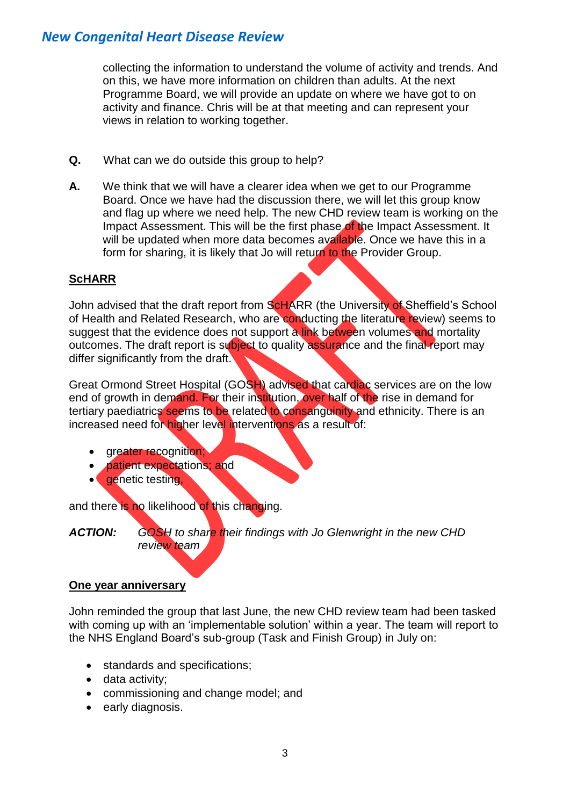collecting the information to understand the volume of activity and trends. And on this, we have more information on children than adults. At the next Programme Board, we will provide an update on where we have got to on activity and finance. Chris will be at that meeting and can represent your views in relation to working together.

- **Q.** What can we do outside this group to help?
- **A.** We think that we will have a clearer idea when we get to our Programme Board. Once we have had the discussion there, we will let this group know and flag up where we need help. The new CHD review team is working on the Impact Assessment. This will be the first phase of the Impact Assessment. It will be updated when more data becomes available. Once we have this in a form for sharing, it is likely that Jo will return to the Provider Group.

# **ScHARR**

John advised that the draft report from ScHARR (the University of Sheffield's School of Health and Related Research, who are conducting the literature review) seems to suggest that the evidence does not support a link between volumes and mortality outcomes. The draft report is subject to quality assurance and the final report may differ significantly from the draft.

Great Ormond Street Hospital (GOSH) advised that cardiac services are on the low end of growth in demand. For their institution, over half of the rise in demand for tertiary paediatrics seems to be related to consanguinity and ethnicity. There is an increased need for higher level interventions as a result of:

- greater recognition;
- patient expectations; and
- **e** genetic testing,

and there is no likelihood of this changing.

*ACTION: GOSH to share their findings with Jo Glenwright in the new CHD review team*

#### **One year anniversary**

John reminded the group that last June, the new CHD review team had been tasked with coming up with an 'implementable solution' within a year. The team will report to the NHS England Board's sub-group (Task and Finish Group) in July on:

- standards and specifications:
- data activity;
- commissioning and change model; and
- early diagnosis.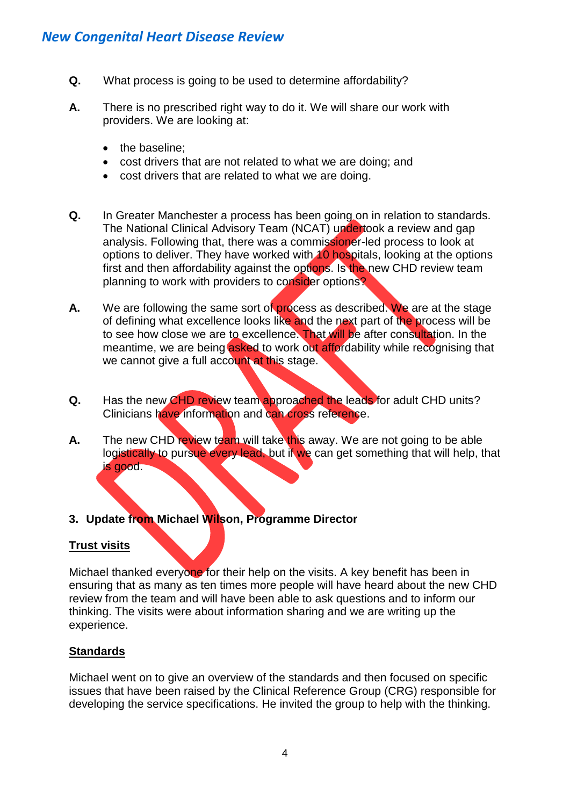- **Q.** What process is going to be used to determine affordability?
- **A.** There is no prescribed right way to do it. We will share our work with providers. We are looking at:
	- the baseline:
	- cost drivers that are not related to what we are doing; and
	- cost drivers that are related to what we are doing.
- **Q.** In Greater Manchester a process has been going on in relation to standards. The National Clinical Advisory Team (NCAT) undertook a review and gap analysis. Following that, there was a commissioner-led process to look at options to deliver. They have worked with 10 hospitals, looking at the options first and then affordability against the options. Is the new CHD review team planning to work with providers to consider options?
- A. We are following the same sort of process as described. We are at the stage of defining what excellence looks like and the next part of the process will be to see how close we are to excellence. That will be after consultation. In the meantime, we are being asked to work out affordability while recognising that we cannot give a full account at this stage.
- **Q.** Has the new CHD review team approached the leads for adult CHD units? Clinicians have information and can cross reference.
- **A.** The new CHD review team will take this away. We are not going to be able logistically to pursue every lead, but if we can get something that will help, that is good.
- **3. Update from Michael Wilson, Programme Director**

# **Trust visits**

Michael thanked everyone for their help on the visits. A key benefit has been in ensuring that as many as ten times more people will have heard about the new CHD review from the team and will have been able to ask questions and to inform our thinking. The visits were about information sharing and we are writing up the experience.

#### **Standards**

Michael went on to give an overview of the standards and then focused on specific issues that have been raised by the Clinical Reference Group (CRG) responsible for developing the service specifications. He invited the group to help with the thinking.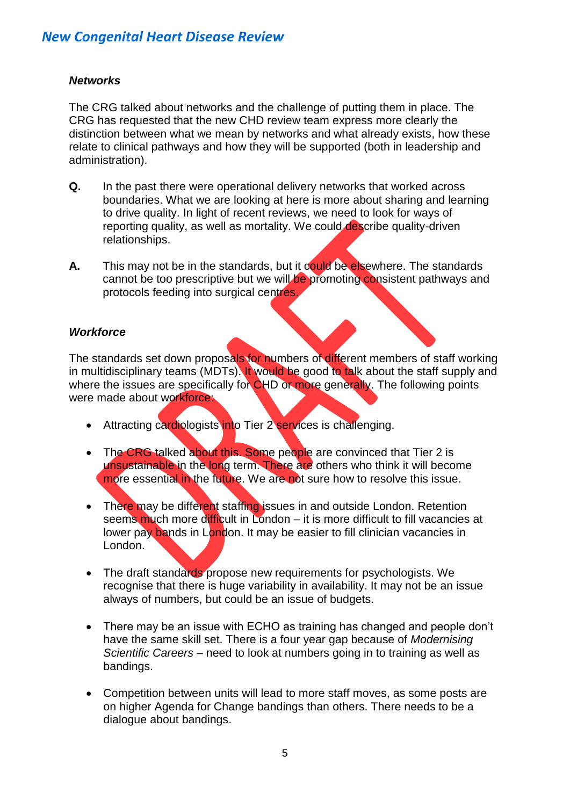## *Networks*

The CRG talked about networks and the challenge of putting them in place. The CRG has requested that the new CHD review team express more clearly the distinction between what we mean by networks and what already exists, how these relate to clinical pathways and how they will be supported (both in leadership and administration).

- **Q.** In the past there were operational delivery networks that worked across boundaries. What we are looking at here is more about sharing and learning to drive quality. In light of recent reviews, we need to look for ways of reporting quality, as well as mortality. We could describe quality-driven relationships.
- **A.** This may not be in the standards, but it could be elsewhere. The standards cannot be too prescriptive but we will be promoting consistent pathways and protocols feeding into surgical centres.

## *Workforce*

The standards set down proposals for numbers of different members of staff working in multidisciplinary teams (MDTs). It would be good to talk about the staff supply and where the issues are specifically for CHD or more generally. The following points were made about workforce:

- Attracting cardiologists into Tier 2 services is challenging.
- The CRG talked about this. Some people are convinced that Tier 2 is unsustainable in the long term. There are others who think it will become more essential in the future. We are not sure how to resolve this issue.
- There may be different staffing issues in and outside London. Retention seems much more difficult in London – it is more difficult to fill vacancies at lower pay bands in London. It may be easier to fill clinician vacancies in London.
- The draft standards propose new requirements for psychologists. We recognise that there is huge variability in availability. It may not be an issue always of numbers, but could be an issue of budgets.
- There may be an issue with ECHO as training has changed and people don't have the same skill set. There is a four year gap because of *Modernising Scientific Careers* – need to look at numbers going in to training as well as bandings.
- Competition between units will lead to more staff moves, as some posts are on higher Agenda for Change bandings than others. There needs to be a dialogue about bandings.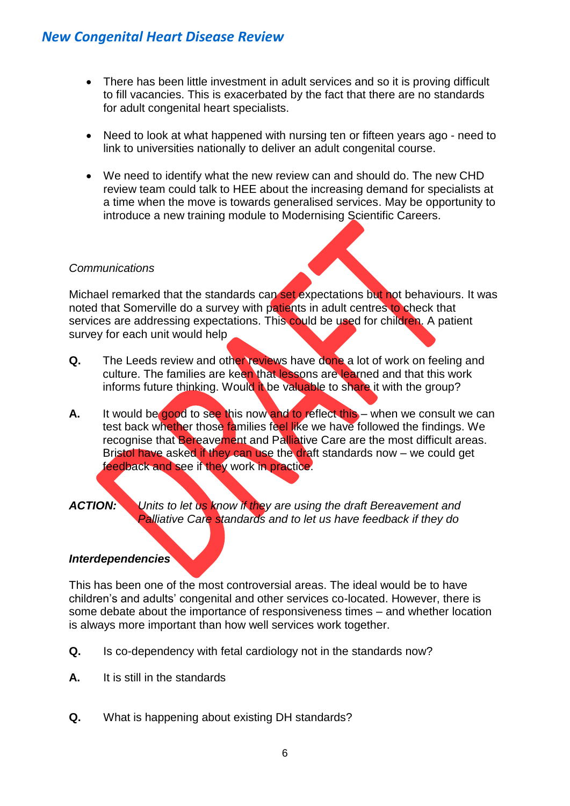- There has been little investment in adult services and so it is proving difficult to fill vacancies. This is exacerbated by the fact that there are no standards for adult congenital heart specialists.
- Need to look at what happened with nursing ten or fifteen years ago need to link to universities nationally to deliver an adult congenital course.
- We need to identify what the new review can and should do. The new CHD review team could talk to HEE about the increasing demand for specialists at a time when the move is towards generalised services. May be opportunity to introduce a new training module to Modernising Scientific Careers.

#### *Communications*

Michael remarked that the standards can set expectations but not behaviours. It was noted that Somerville do a survey with patients in adult centres to check that services are addressing expectations. This could be used for children. A patient survey for each unit would help

- **Q.** The Leeds review and other reviews have done a lot of work on feeling and culture. The families are keen that lessons are learned and that this work informs future thinking. Would it be valuable to share it with the group?
- **A.** It would be good to see this now and to reflect this when we consult we can test back whether those families feel like we have followed the findings. We recognise that Bereavement and Palliative Care are the most difficult areas. Bristol have asked if they can use the draft standards now – we could get feedback and see if they work in practice.

#### *ACTION: Units to let us know if they are using the draft Bereavement and Palliative Care standards and to let us have feedback if they do*

#### *Interdependencies*

This has been one of the most controversial areas. The ideal would be to have children's and adults' congenital and other services co-located. However, there is some debate about the importance of responsiveness times – and whether location is always more important than how well services work together.

- **Q.** Is co-dependency with fetal cardiology not in the standards now?
- **A.** It is still in the standards
- **Q.** What is happening about existing DH standards?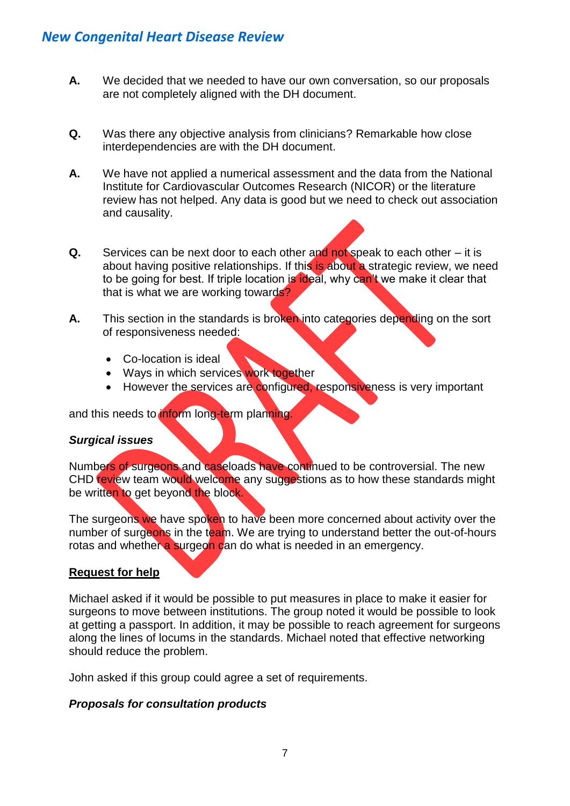- **A.** We decided that we needed to have our own conversation, so our proposals are not completely aligned with the DH document.
- **Q.** Was there any objective analysis from clinicians? Remarkable how close interdependencies are with the DH document.
- **A.** We have not applied a numerical assessment and the data from the National Institute for Cardiovascular Outcomes Research (NICOR) or the literature review has not helped. Any data is good but we need to check out association and causality.
- **Q.** Services can be next door to each other and not speak to each other it is about having positive relationships. If this is about a strategic review, we need to be going for best. If triple location is **ideal**, why can't we make it clear that that is what we are working towards?
- **A.** This section in the standards is broken into categories depending on the sort of responsiveness needed:
	- Co-location is ideal
	- Ways in which services work together
	- However the services are configured, responsiveness is very important

and this needs to inform long-term planning.

#### *Surgical issues*

Numbers of surgeons and caseloads have continued to be controversial. The new CHD review team would welcome any suggestions as to how these standards might be written to get beyond the block.

The surgeons we have spoken to have been more concerned about activity over the number of surgeons in the team. We are trying to understand better the out-of-hours rotas and whether a surgeon can do what is needed in an emergency.

#### **Request for help**

Michael asked if it would be possible to put measures in place to make it easier for surgeons to move between institutions. The group noted it would be possible to look at getting a passport. In addition, it may be possible to reach agreement for surgeons along the lines of locums in the standards. Michael noted that effective networking should reduce the problem.

John asked if this group could agree a set of requirements.

#### *Proposals for consultation products*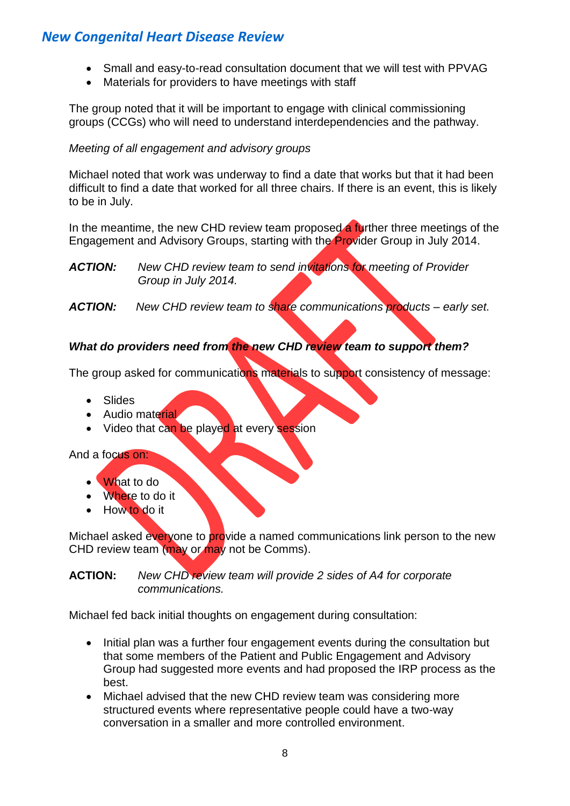- Small and easy-to-read consultation document that we will test with PPVAG
- Materials for providers to have meetings with staff

The group noted that it will be important to engage with clinical commissioning groups (CCGs) who will need to understand interdependencies and the pathway.

## *Meeting of all engagement and advisory groups*

Michael noted that work was underway to find a date that works but that it had been difficult to find a date that worked for all three chairs. If there is an event, this is likely to be in July.

In the meantime, the new CHD review team proposed a further three meetings of the Engagement and Advisory Groups, starting with the Provider Group in July 2014.

*ACTION: New CHD review team to send invitations for meeting of Provider Group in July 2014.*

*ACTION: New CHD review team to share communications products – early set.*

# *What do providers need from the new CHD review team to support them?*

The group asked for communications materials to support consistency of message:

- Slides
- Audio material
- Video that can be played at every session

And a focus on:

- What to do
- Where to do it
- How to do it

Michael asked everyone to provide a named communications link person to the new CHD review team (may or may not be Comms).

**ACTION:** *New CHD review team will provide 2 sides of A4 for corporate communications.*

Michael fed back initial thoughts on engagement during consultation:

- Initial plan was a further four engagement events during the consultation but that some members of the Patient and Public Engagement and Advisory Group had suggested more events and had proposed the IRP process as the best.
- Michael advised that the new CHD review team was considering more structured events where representative people could have a two-way conversation in a smaller and more controlled environment.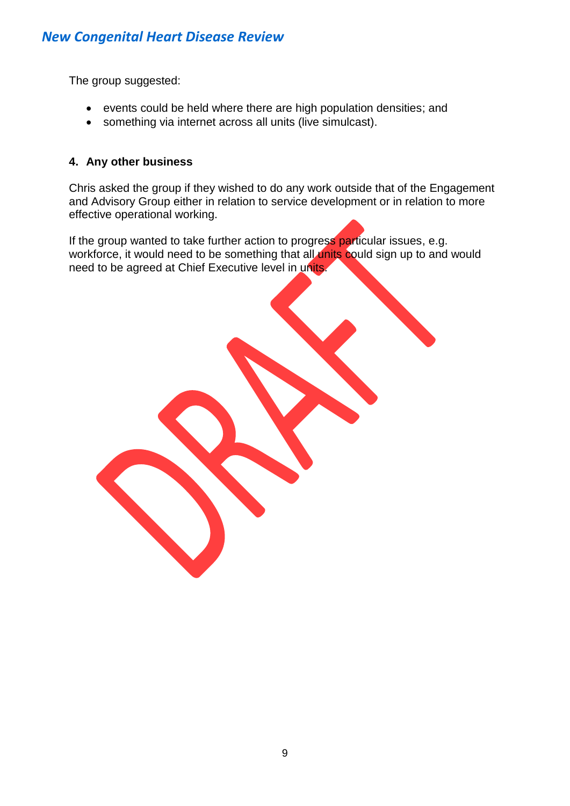The group suggested:

- events could be held where there are high population densities; and
- something via internet across all units (live simulcast).

## **4. Any other business**

Chris asked the group if they wished to do any work outside that of the Engagement and Advisory Group either in relation to service development or in relation to more effective operational working.

If the group wanted to take further action to progress particular issues, e.g. workforce, it would need to be something that all units could sign up to and would need to be agreed at Chief Executive level in units.